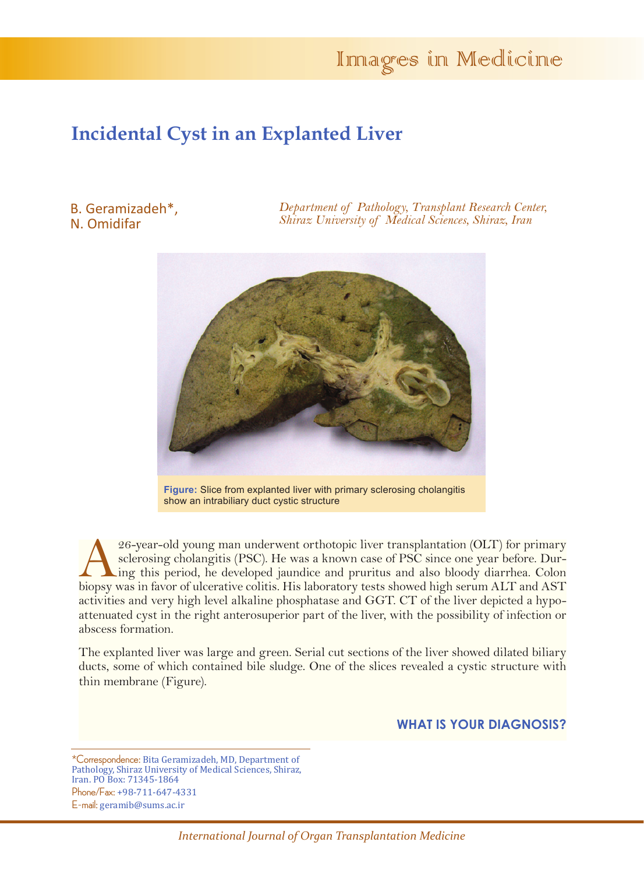# Innages in Medicine

## **Incidental Cyst in an Explanted Liver**

#### B. Geramizadeh\*, N. Omidifar

*Department of Pathology, Transplant Research Center, Shiraz University of Medical Sciences, Shiraz, Iran*



**Figure:** Slice from explanted liver with primary sclerosing cholangitis show an intrabiliary duct cystic structure

26-year-old young man underwent orthotopic liver transplantation (OLT) for primary<br>sclerosing cholangitis (PSC). He was a known case of PSC since one year before. Dur-<br>ing this period, he developed jaundice and pruritus an sclerosing cholangitis (PSC). He was a known case of PSC since one year before. During this period, he developed jaundice and pruritus and also bloody diarrhea. Colon biopsy was in favor of ulcerative colitis. His laboratory tests showed high serum ALT and AST activities and very high level alkaline phosphatase and GGT. CT of the liver depicted a hypoattenuated cyst in the right anterosuperior part of the liver, with the possibility of infection or abscess formation.

The explanted liver was large and green. Serial cut sections of the liver showed dilated biliary ducts, some of which contained bile sludge. One of the slices revealed a cystic structure with thin membrane (Figure).

#### **WHAT IS YOUR DIAGNOSIS?**

E-mail: geramib@sums.ac.ir

<sup>\*</sup>Correspondence: Bita Geramizadeh, MD, Department of Pathology, Shiraz University of Medical Sciences, Shiraz, Iran. PO Box: 71345-1864 Phone/Fax: +98-711-647-4331